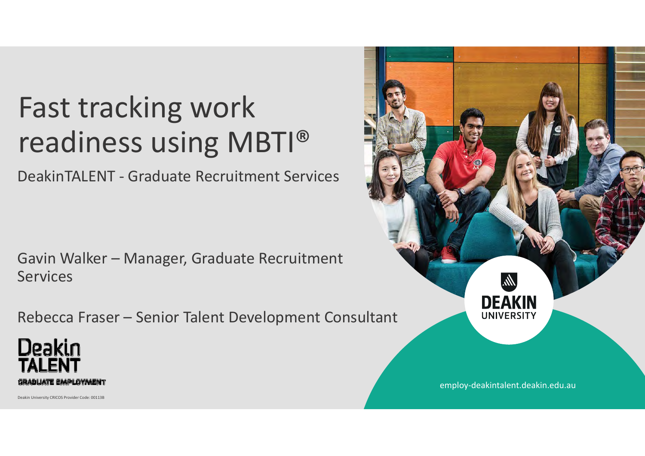## Fast tracking work readiness using MBTI®

DeakinTALENT ‐ Graduate Recruitment Services

Gavin Walker – Manager, Graduate Recruitment **Services** 

Rebecca Fraser – Senior Talent Development Consultant





employ‐deakintalent.deakin.edu.au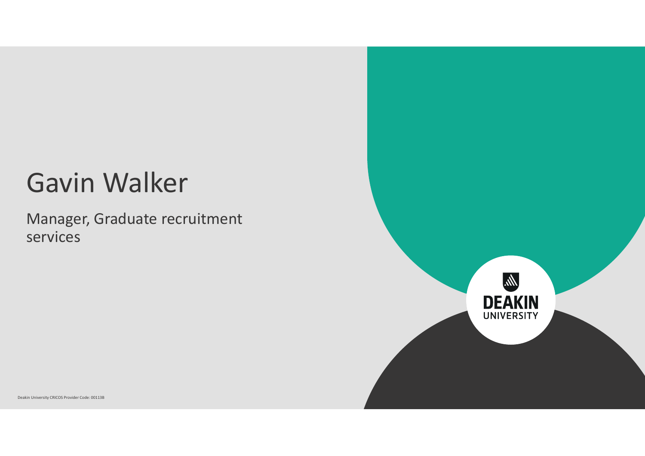### Gavin Walker

Manager, Graduate recruitment services

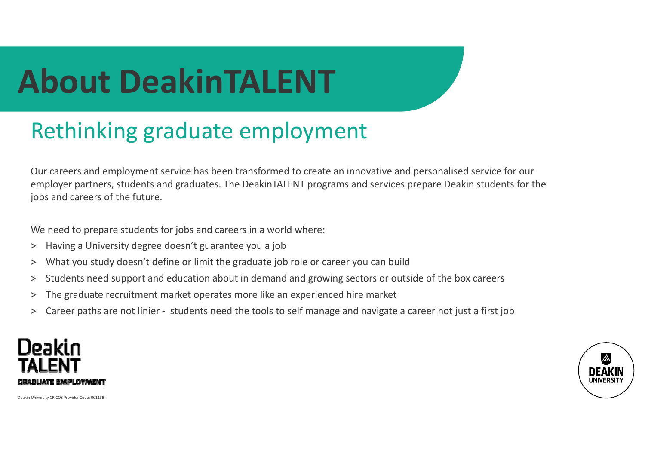## **About DeakinTALENT**

### Rethinking graduate employment

Our careers and employment service has been transformed to create an innovative and personalised service for our employer partners, students and graduates. The DeakinTALENT programs and services prepare Deakin students for the jobs and careers of the future.

We need to prepare students for jobs and careers in a world where:

- $>$ Having a University degree doesn't guarantee you a job
- >What you study doesn't define or limit the graduate job role or career you can build
- >Students need support and education about in demand and growing sectors or outside of the box careers
- >The graduate recruitment market operates more like an experienced hire market
- >Career paths are not linier ‐ students need the tools to self manage and navigate a career not just a first job



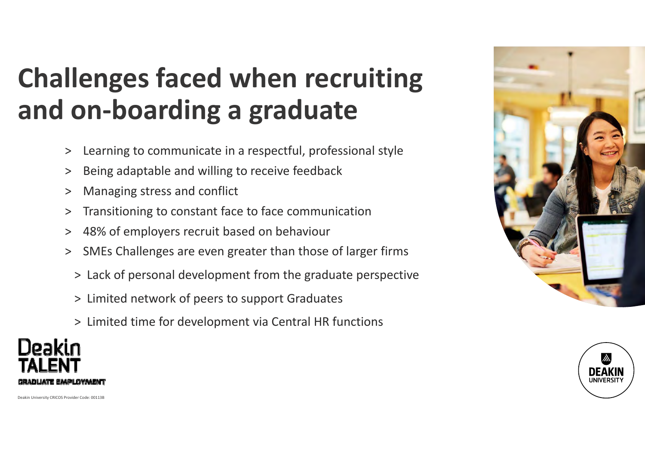### **Challenges faced when recruiting and on‐boarding a graduate**

- >Learning to communicate in a respectful, professional style
- $>$ Being adaptable and willing to receive feedback
- $>$ Managing stress and conflict
- $\geq$ Transitioning to constant face to face communication
- $>$ 48% of employers recruit based on behaviour
- > SMEs Challenges are even greater than those of larger firms
	- > Lack of personal development from the graduate perspective
	- > Limited network of peers to support Graduates
	- > Limited time for development via Central HR functions



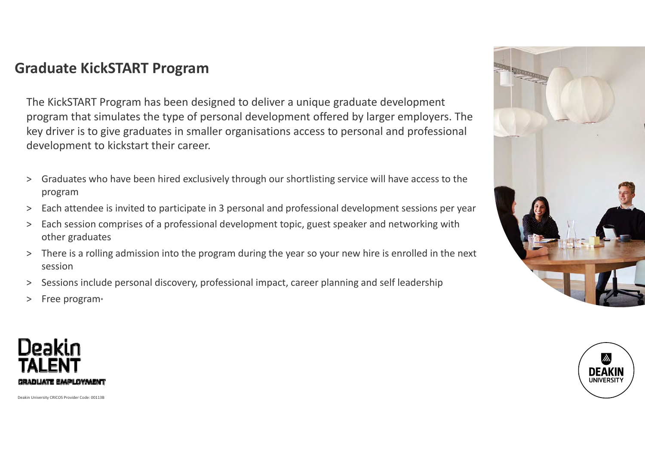#### **Graduate KickSTART Program**

The KickSTART Program has been designed to deliver a unique graduate development program that simulates the type of personal development offered by larger employers. The key driver is to give graduates in smaller organisations access to personal and professional development to kickstart their career.

- $>$  Graduates who have been hired exclusively through our shortlisting service will have access to the program
- $>$ Each attendee is invited to participate in 3 personal and professional development sessions per year
- $>$  Each session comprises of a professional development topic, guest speaker and networking with other graduates
- > There is a rolling admission into the program during the year so your new hire is enrolled in the next session
- > Sessions include personal discovery, professional impact, career planning and self leadership
- $>$ Free program\*



**IINIVERSIT** 

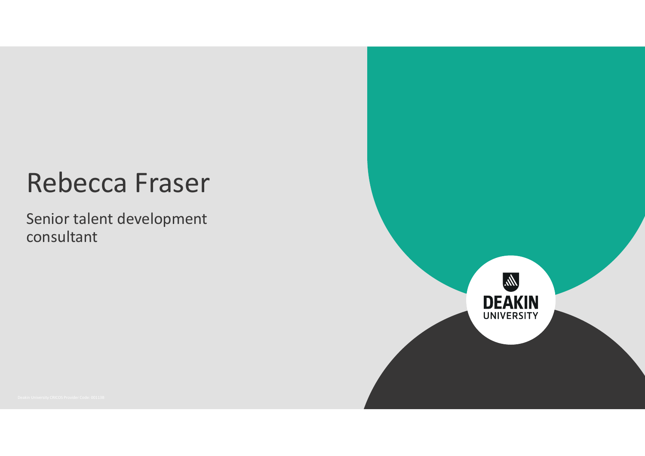### Rebecca Fraser

Senior talent development consultant

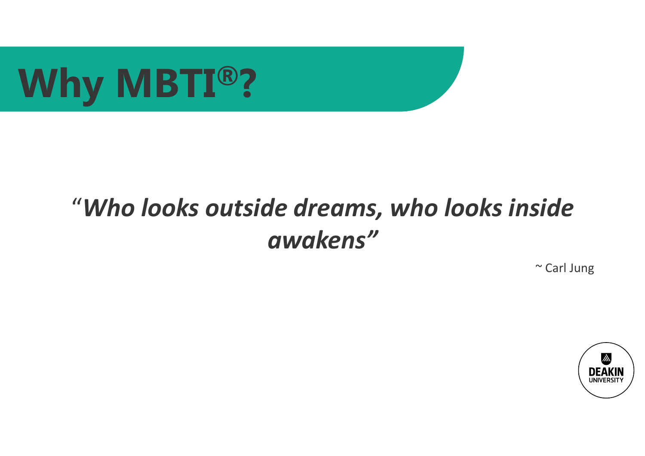

### "*Who looks outside dreams, who looks inside awakens"*

~ Carl Jung

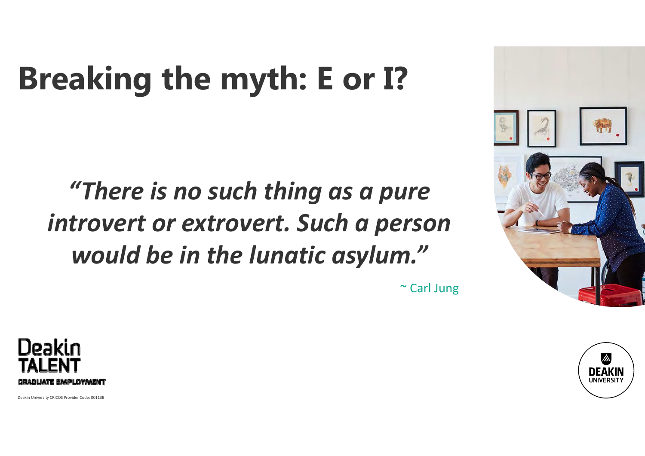## **Breaking the myth: E or I?**

### *"There is no such thing as a pure introvert or extrovert. Such a person would be in the lunatic asylum. "*







**DEAK IINIVERSI**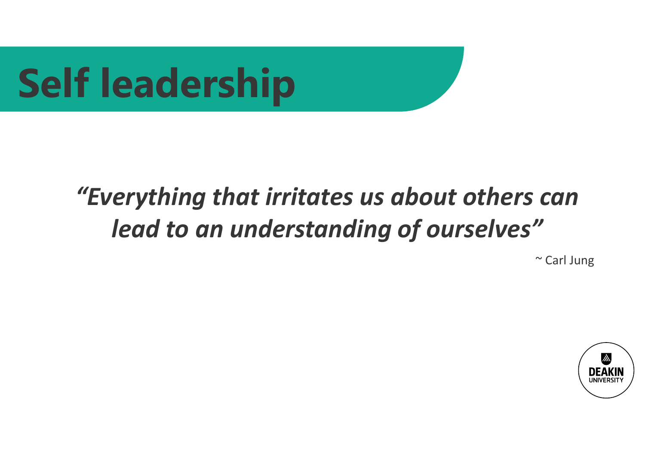# **Self leadership**

### *"Everything that irritates us about others can lead to an understanding of ourselves"*

~ Carl Jung

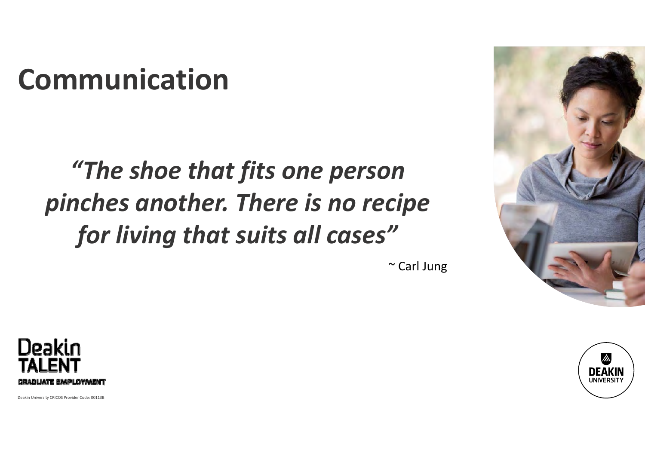## **Communication**

### *"The shoe that fits one person pinches another. There is no recipe for living that suits all cases"*





Deakin University CRICOS Provider Code: 00113B



~ Carl Jung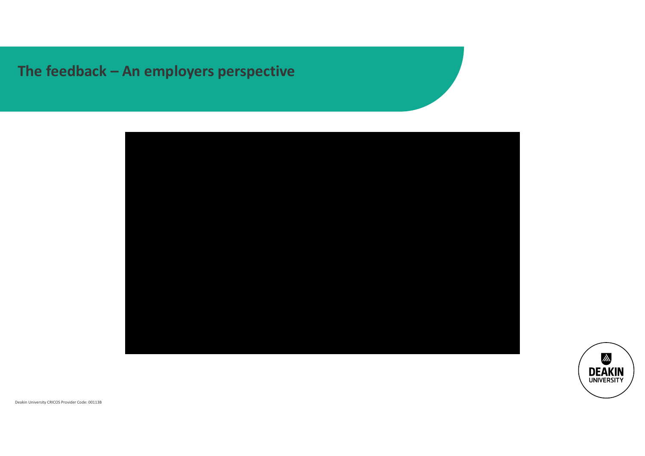### **The feedback – An employers perspective**



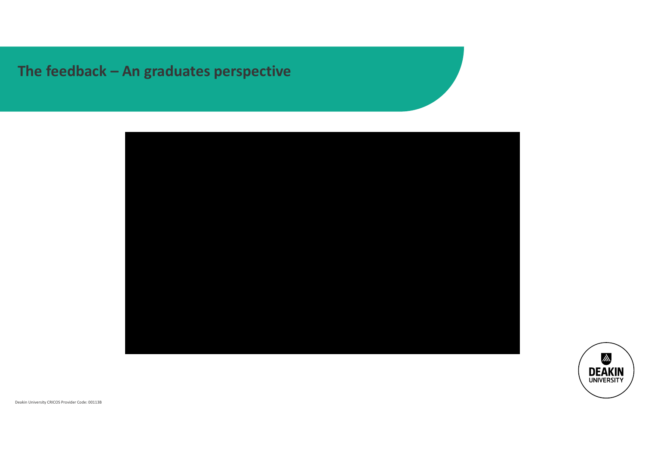#### **The feedback – An graduates perspective**